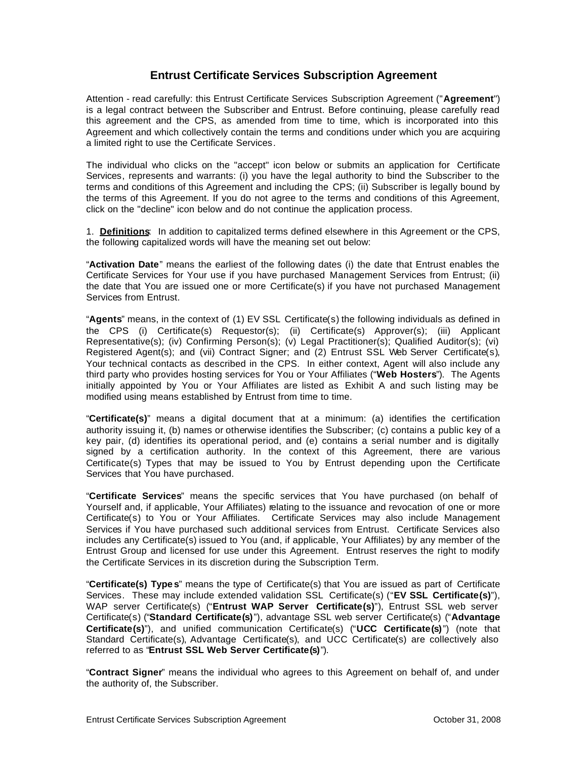# **Entrust Certificate Services Subscription Agreement**

Attention - read carefully: this Entrust Certificate Services Subscription Agreement ("**Agreement**") is a legal contract between the Subscriber and Entrust. Before continuing, please carefully read this agreement and the CPS, as amended from time to time, which is incorporated into this Agreement and which collectively contain the terms and conditions under which you are acquiring a limited right to use the Certificate Services.

The individual who clicks on the "accept" icon below or submits an application for Certificate Services, represents and warrants: (i) you have the legal authority to bind the Subscriber to the terms and conditions of this Agreement and including the CPS; (ii) Subscriber is legally bound by the terms of this Agreement. If you do not agree to the terms and conditions of this Agreement, click on the "decline" icon below and do not continue the application process.

1. **Definitions**: In addition to capitalized terms defined elsewhere in this Agreement or the CPS, the following capitalized words will have the meaning set out below:

"**Activation Date**" means the earliest of the following dates (i) the date that Entrust enables the Certificate Services for Your use if you have purchased Management Services from Entrust; (ii) the date that You are issued one or more Certificate(s) if you have not purchased Management Services from Entrust.

"**Agents**" means, in the context of (1) EV SSL Certificate(s) the following individuals as defined in the CPS (i) Certificate(s) Requestor(s); (ii) Certificate(s) Approver(s); (iii) Applicant Representative(s); (iv) Confirming Person(s); (v) Legal Practitioner(s); Qualified Auditor(s); (vi) Registered Agent(s); and (vii) Contract Signer; and (2) Entrust SSL Web Server Certificate(s), Your technical contacts as described in the CPS. In either context, Agent will also include any third party who provides hosting services for You or Your Affiliates ("**Web Hosters**"). The Agents initially appointed by You or Your Affiliates are listed as Exhibit A and such listing may be modified using means established by Entrust from time to time.

"**Certificate(s)**" means a digital document that at a minimum: (a) identifies the certification authority issuing it, (b) names or otherwise identifies the Subscriber; (c) contains a public key of a key pair, (d) identifies its operational period, and (e) contains a serial number and is digitally signed by a certification authority. In the context of this Agreement, there are various Certificate(s) Types that may be issued to You by Entrust depending upon the Certificate Services that You have purchased.

"**Certificate Services**" means the specific services that You have purchased (on behalf of Yourself and, if applicable, Your Affiliates) relating to the issuance and revocation of one or more Certificate(s) to You or Your Affiliates. Certificate Services may also include Management Services if You have purchased such additional services from Entrust. Certificate Services also includes any Certificate(s) issued to You (and, if applicable, Your Affiliates) by any member of the Entrust Group and licensed for use under this Agreement. Entrust reserves the right to modify the Certificate Services in its discretion during the Subscription Term.

"**Certificate(s) Type s**" means the type of Certificate(s) that You are issued as part of Certificate Services. These may include extended validation SSL Certificate(s) ("**EV SSL Certificate(s)**"), WAP server Certificate(s) ("**Entrust WAP Server Certificate(s)**"), Entrust SSL web server Certificate(s) ("**Standard Certificate(s)**"), advantage SSL web server Certificate(s) ("**Advantage Certificate(s)**"), and unified communication Certificate(s) ("**UCC Certificate(s)**") (note that Standard Certificate(s), Advantage Certificate(s), and UCC Certificate(s) are collectively also referred to as "**Entrust SSL Web Server Certificate(s)**").

"**Contract Signer**" means the individual who agrees to this Agreement on behalf of, and under the authority of, the Subscriber.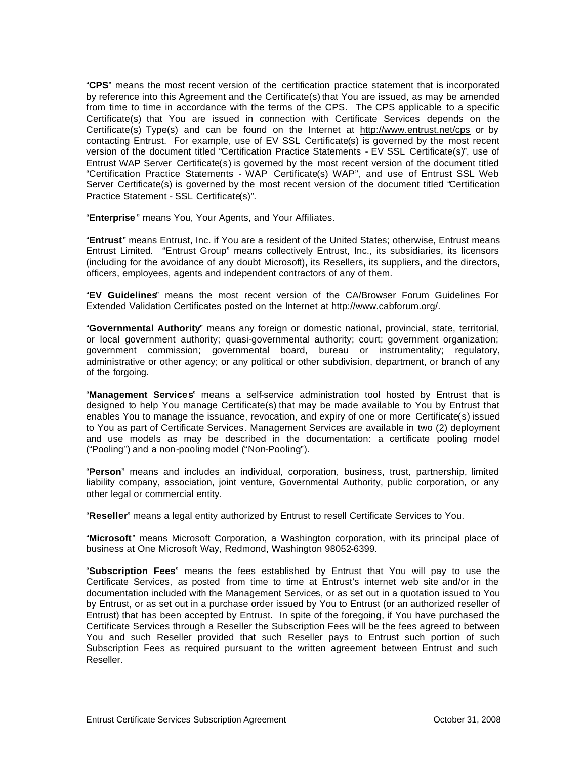"**CPS**" means the most recent version of the certification practice statement that is incorporated by reference into this Agreement and the Certificate(s) that You are issued, as may be amended from time to time in accordance with the terms of the CPS. The CPS applicable to a specific Certificate(s) that You are issued in connection with Certificate Services depends on the Certificate(s) Type(s) and can be found on the Internet at http://www.entrust.net/cps or by contacting Entrust. For example, use of EV SSL Certificate(s) is governed by the most recent version of the document titled "Certification Practice Statements - EV SSL Certificate(s)", use of Entrust WAP Server Certificate(s) is governed by the most recent version of the document titled "Certification Practice Statements - WAP Certificate(s) WAP", and use of Entrust SSL Web Server Certificate(s) is governed by the most recent version of the document titled "Certification Practice Statement - SSL Certificate(s)".

"**Enterprise** " means You, Your Agents, and Your Affiliates.

"**Entrust**" means Entrust, Inc. if You are a resident of the United States; otherwise, Entrust means Entrust Limited. "Entrust Group" means collectively Entrust, Inc., its subsidiaries, its licensors (including for the avoidance of any doubt Microsoft), its Resellers, its suppliers, and the directors, officers, employees, agents and independent contractors of any of them.

"**EV Guidelines**" means the most recent version of the CA/Browser Forum Guidelines For Extended Validation Certificates posted on the Internet at http://www.cabforum.org/.

"**Governmental Authority**" means any foreign or domestic national, provincial, state, territorial, or local government authority; quasi-governmental authority; court; government organization; government commission; governmental board, bureau or instrumentality; regulatory, administrative or other agency; or any political or other subdivision, department, or branch of any of the forgoing.

"**Management Services**" means a self-service administration tool hosted by Entrust that is designed to help You manage Certificate(s) that may be made available to You by Entrust that enables You to manage the issuance, revocation, and expiry of one or more Certificate(s) issued to You as part of Certificate Services. Management Services are available in two (2) deployment and use models as may be described in the documentation: a certificate pooling model ("Pooling") and a non-pooling model ("Non-Pooling").

"**Person**" means and includes an individual, corporation, business, trust, partnership, limited liability company, association, joint venture, Governmental Authority, public corporation, or any other legal or commercial entity.

"**Reseller**" means a legal entity authorized by Entrust to resell Certificate Services to You.

"**Microsoft**" means Microsoft Corporation, a Washington corporation, with its principal place of business at One Microsoft Way, Redmond, Washington 98052-6399.

"**Subscription Fees**" means the fees established by Entrust that You will pay to use the Certificate Services, as posted from time to time at Entrust's internet web site and/or in the documentation included with the Management Services, or as set out in a quotation issued to You by Entrust, or as set out in a purchase order issued by You to Entrust (or an authorized reseller of Entrust) that has been accepted by Entrust. In spite of the foregoing, if You have purchased the Certificate Services through a Reseller the Subscription Fees will be the fees agreed to between You and such Reseller provided that such Reseller pays to Entrust such portion of such Subscription Fees as required pursuant to the written agreement between Entrust and such Reseller.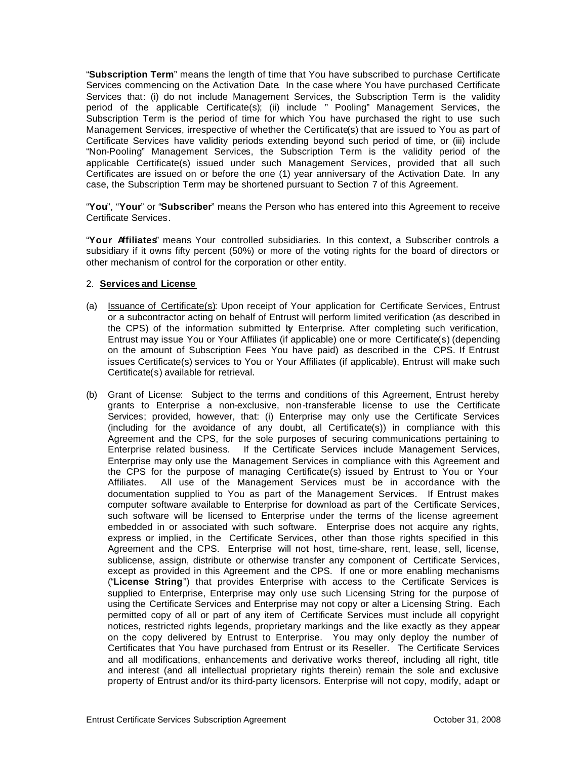"**Subscription Term**" means the length of time that You have subscribed to purchase Certificate Services commencing on the Activation Date. In the case where You have purchased Certificate Services that: (i) do not include Management Services, the Subscription Term is the validity period of the applicable Certificate(s); (ii) include " Pooling" Management Services, the Subscription Term is the period of time for which You have purchased the right to use such Management Services, irrespective of whether the Certificate(s) that are issued to You as part of Certificate Services have validity periods extending beyond such period of time, or (iii) include "Non-Pooling" Management Services, the Subscription Term is the validity period of the applicable Certificate(s) issued under such Management Services, provided that all such Certificates are issued on or before the one (1) year anniversary of the Activation Date. In any case, the Subscription Term may be shortened pursuant to Section 7 of this Agreement.

"**You**", "**Your**" or "**Subscriber**" means the Person who has entered into this Agreement to receive Certificate Services.

"**Your Affiliates**" means Your controlled subsidiaries. In this context, a Subscriber controls a subsidiary if it owns fifty percent (50%) or more of the voting rights for the board of directors or other mechanism of control for the corporation or other entity.

#### 2. **Services and License**

- (a) Issuance of Certificate(s): Upon receipt of Your application for Certificate Services, Entrust or a subcontractor acting on behalf of Entrust will perform limited verification (as described in the CPS) of the information submitted by Enterprise. After completing such verification, Entrust may issue You or Your Affiliates (if applicable) one or more Certificate(s) (depending on the amount of Subscription Fees You have paid) as described in the CPS. If Entrust issues Certificate(s) services to You or Your Affiliates (if applicable), Entrust will make such Certificate(s) available for retrieval.
- (b) Grant of License: Subject to the terms and conditions of this Agreement, Entrust hereby grants to Enterprise a non-exclusive, non-transferable license to use the Certificate Services; provided, however, that: (i) Enterprise may only use the Certificate Services (including for the avoidance of any doubt, all Certificate(s)) in compliance with this Agreement and the CPS, for the sole purposes of securing communications pertaining to Enterprise related business. If the Certificate Services include Management Services, Enterprise may only use the Management Services in compliance with this Agreement and the CPS for the purpose of managing Certificate(s) issued by Entrust to You or Your Affiliates. All use of the Management Services must be in accordance with the documentation supplied to You as part of the Management Services. If Entrust makes computer software available to Enterprise for download as part of the Certificate Services, such software will be licensed to Enterprise under the terms of the license agreement embedded in or associated with such software. Enterprise does not acquire any rights, express or implied, in the Certificate Services, other than those rights specified in this Agreement and the CPS. Enterprise will not host, time-share, rent, lease, sell, license, sublicense, assign, distribute or otherwise transfer any component of Certificate Services, except as provided in this Agreement and the CPS. If one or more enabling mechanisms ("**License String**") that provides Enterprise with access to the Certificate Services is supplied to Enterprise, Enterprise may only use such Licensing String for the purpose of using the Certificate Services and Enterprise may not copy or alter a Licensing String. Each permitted copy of all or part of any item of Certificate Services must include all copyright notices, restricted rights legends, proprietary markings and the like exactly as they appear on the copy delivered by Entrust to Enterprise. You may only deploy the number of Certificates that You have purchased from Entrust or its Reseller. The Certificate Services and all modifications, enhancements and derivative works thereof, including all right, title and interest (and all intellectual proprietary rights therein) remain the sole and exclusive property of Entrust and/or its third-party licensors. Enterprise will not copy, modify, adapt or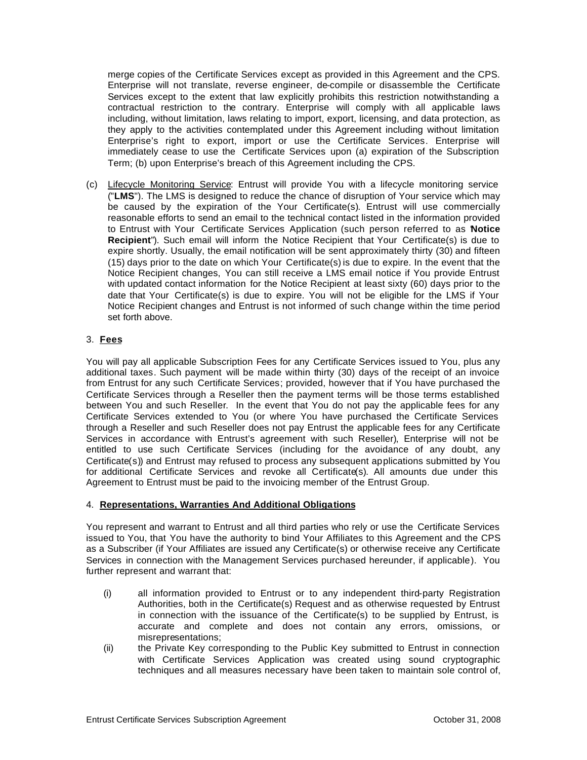merge copies of the Certificate Services except as provided in this Agreement and the CPS. Enterprise will not translate, reverse engineer, de-compile or disassemble the Certificate Services except to the extent that law explicitly prohibits this restriction notwithstanding a contractual restriction to the contrary. Enterprise will comply with all applicable laws including, without limitation, laws relating to import, export, licensing, and data protection, as they apply to the activities contemplated under this Agreement including without limitation Enterprise's right to export, import or use the Certificate Services. Enterprise will immediately cease to use the Certificate Services upon (a) expiration of the Subscription Term; (b) upon Enterprise's breach of this Agreement including the CPS.

(c) Lifecycle Monitoring Service: Entrust will provide You with a lifecycle monitoring service ("**LMS**"). The LMS is designed to reduce the chance of disruption of Your service which may be caused by the expiration of the Your Certificate(s). Entrust will use commercially reasonable efforts to send an email to the technical contact listed in the information provided to Entrust with Your Certificate Services Application (such person referred to as "**Notice Recipient**"). Such email will inform the Notice Recipient that Your Certificate(s) is due to expire shortly. Usually, the email notification will be sent approximately thirty (30) and fifteen (15) days prior to the date on which Your Certificate(s) is due to expire. In the event that the Notice Recipient changes, You can still receive a LMS email notice if You provide Entrust with updated contact information for the Notice Recipient at least sixty (60) days prior to the date that Your Certificate(s) is due to expire. You will not be eligible for the LMS if Your Notice Recipient changes and Entrust is not informed of such change within the time period set forth above.

## 3. **Fees**

You will pay all applicable Subscription Fees for any Certificate Services issued to You, plus any additional taxes. Such payment will be made within thirty (30) days of the receipt of an invoice from Entrust for any such Certificate Services; provided, however that if You have purchased the Certificate Services through a Reseller then the payment terms will be those terms established between You and such Reseller. In the event that You do not pay the applicable fees for any Certificate Services extended to You (or where You have purchased the Certificate Services through a Reseller and such Reseller does not pay Entrust the applicable fees for any Certificate Services in accordance with Entrust's agreement with such Reseller), Enterprise will not be entitled to use such Certificate Services (including for the avoidance of any doubt, any Certificate(s)) and Entrust may refused to process any subsequent applications submitted by You for additional Certificate Services and revoke all Certificate(s). All amounts due under this Agreement to Entrust must be paid to the invoicing member of the Entrust Group.

#### 4. **Representations, Warranties And Additional Obligations**

You represent and warrant to Entrust and all third parties who rely or use the Certificate Services issued to You, that You have the authority to bind Your Affiliates to this Agreement and the CPS as a Subscriber (if Your Affiliates are issued any Certificate(s) or otherwise receive any Certificate Services in connection with the Management Services purchased hereunder, if applicable). You further represent and warrant that:

- (i) all information provided to Entrust or to any independent third-party Registration Authorities, both in the Certificate(s) Request and as otherwise requested by Entrust in connection with the issuance of the Certificate(s) to be supplied by Entrust, is accurate and complete and does not contain any errors, omissions, or misrepresentations;
- (ii) the Private Key corresponding to the Public Key submitted to Entrust in connection with Certificate Services Application was created using sound cryptographic techniques and all measures necessary have been taken to maintain sole control of,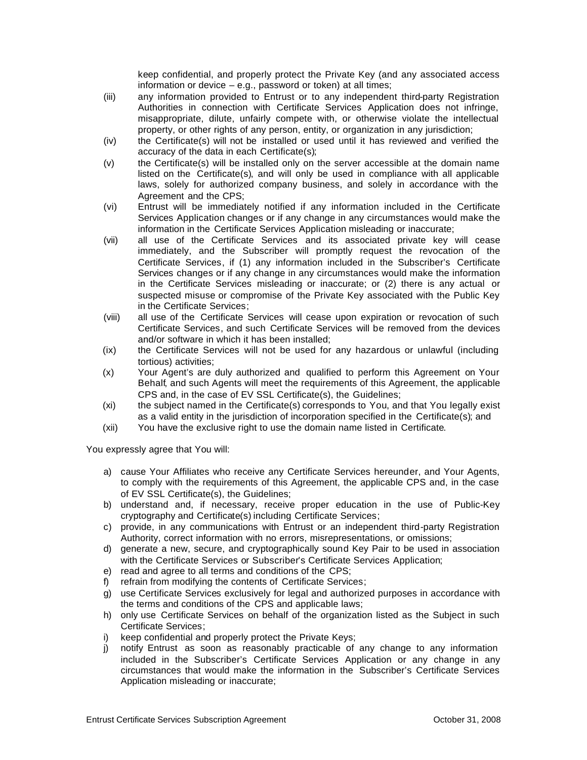keep confidential, and properly protect the Private Key (and any associated access information or device – e.g., password or token) at all times;

- (iii) any information provided to Entrust or to any independent third-party Registration Authorities in connection with Certificate Services Application does not infringe, misappropriate, dilute, unfairly compete with, or otherwise violate the intellectual property, or other rights of any person, entity, or organization in any jurisdiction;
- (iv) the Certificate(s) will not be installed or used until it has reviewed and verified the accuracy of the data in each Certificate(s);
- (v) the Certificate(s) will be installed only on the server accessible at the domain name listed on the Certificate(s), and will only be used in compliance with all applicable laws, solely for authorized company business, and solely in accordance with the Agreement and the CPS;
- (vi) Entrust will be immediately notified if any information included in the Certificate Services Application changes or if any change in any circumstances would make the information in the Certificate Services Application misleading or inaccurate;
- (vii) all use of the Certificate Services and its associated private key will cease immediately, and the Subscriber will promptly request the revocation of the Certificate Services, if (1) any information included in the Subscriber's Certificate Services changes or if any change in any circumstances would make the information in the Certificate Services misleading or inaccurate; or (2) there is any actual or suspected misuse or compromise of the Private Key associated with the Public Key in the Certificate Services;
- (viii) all use of the Certificate Services will cease upon expiration or revocation of such Certificate Services, and such Certificate Services will be removed from the devices and/or software in which it has been installed;
- (ix) the Certificate Services will not be used for any hazardous or unlawful (including tortious) activities;
- (x) Your Agent's are duly authorized and qualified to perform this Agreement on Your Behalf, and such Agents will meet the requirements of this Agreement, the applicable CPS and, in the case of EV SSL Certificate(s), the Guidelines;
- (xi) the subject named in the Certificate(s) corresponds to You, and that You legally exist as a valid entity in the jurisdiction of incorporation specified in the Certificate(s); and
- (xii) You have the exclusive right to use the domain name listed in Certificate.

You expressly agree that You will:

- a) cause Your Affiliates who receive any Certificate Services hereunder, and Your Agents, to comply with the requirements of this Agreement, the applicable CPS and, in the case of EV SSL Certificate(s), the Guidelines;
- b) understand and, if necessary, receive proper education in the use of Public-Key cryptography and Certificate(s) including Certificate Services;
- c) provide, in any communications with Entrust or an independent third-party Registration Authority, correct information with no errors, misrepresentations, or omissions;
- d) generate a new, secure, and cryptographically sound Key Pair to be used in association with the Certificate Services or Subscriber's Certificate Services Application;
- e) read and agree to all terms and conditions of the CPS;
- f) refrain from modifying the contents of Certificate Services;
- g) use Certificate Services exclusively for legal and authorized purposes in accordance with the terms and conditions of the CPS and applicable laws;
- h) only use Certificate Services on behalf of the organization listed as the Subject in such Certificate Services;
- i) keep confidential and properly protect the Private Keys;
- j) notify Entrust as soon as reasonably practicable of any change to any information included in the Subscriber's Certificate Services Application or any change in any circumstances that would make the information in the Subscriber's Certificate Services Application misleading or inaccurate;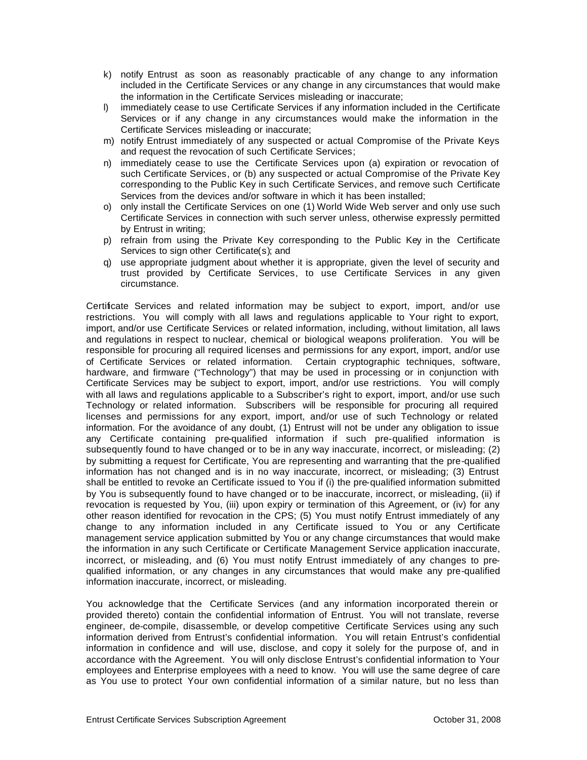- k) notify Entrust as soon as reasonably practicable of any change to any information included in the Certificate Services or any change in any circumstances that would make the information in the Certificate Services misleading or inaccurate;
- l) immediately cease to use Certificate Services if any information included in the Certificate Services or if any change in any circumstances would make the information in the Certificate Services misleading or inaccurate;
- m) notify Entrust immediately of any suspected or actual Compromise of the Private Keys and request the revocation of such Certificate Services;
- n) immediately cease to use the Certificate Services upon (a) expiration or revocation of such Certificate Services, or (b) any suspected or actual Compromise of the Private Key corresponding to the Public Key in such Certificate Services, and remove such Certificate Services from the devices and/or software in which it has been installed;
- o) only install the Certificate Services on one (1) World Wide Web server and only use such Certificate Services in connection with such server unless, otherwise expressly permitted by Entrust in writing;
- p) refrain from using the Private Key corresponding to the Public Key in the Certificate Services to sign other Certificate(s); and
- q) use appropriate judgment about whether it is appropriate, given the level of security and trust provided by Certificate Services, to use Certificate Services in any given circumstance.

Certificate Services and related information may be subject to export, import, and/or use restrictions. You will comply with all laws and regulations applicable to Your right to export, import, and/or use Certificate Services or related information, including, without limitation, all laws and regulations in respect to nuclear, chemical or biological weapons proliferation. You will be responsible for procuring all required licenses and permissions for any export, import, and/or use of Certificate Services or related information. Certain cryptographic techniques, software, hardware, and firmware ("Technology") that may be used in processing or in conjunction with Certificate Services may be subject to export, import, and/or use restrictions. You will comply with all laws and regulations applicable to a Subscriber's right to export, import, and/or use such Technology or related information. Subscribers will be responsible for procuring all required licenses and permissions for any export, import, and/or use of such Technology or related information. For the avoidance of any doubt, (1) Entrust will not be under any obligation to issue any Certificate containing pre-qualified information if such pre-qualified information is subsequently found to have changed or to be in any way inaccurate, incorrect, or misleading; (2) by submitting a request for Certificate, You are representing and warranting that the pre-qualified information has not changed and is in no way inaccurate, incorrect, or misleading; (3) Entrust shall be entitled to revoke an Certificate issued to You if (i) the pre-qualified information submitted by You is subsequently found to have changed or to be inaccurate, incorrect, or misleading, (ii) if revocation is requested by You, (iii) upon expiry or termination of this Agreement, or (iv) for any other reason identified for revocation in the CPS; (5) You must notify Entrust immediately of any change to any information included in any Certificate issued to You or any Certificate management service application submitted by You or any change circumstances that would make the information in any such Certificate or Certificate Management Service application inaccurate, incorrect, or misleading, and (6) You must notify Entrust immediately of any changes to prequalified information, or any changes in any circumstances that would make any pre-qualified information inaccurate, incorrect, or misleading.

You acknowledge that the Certificate Services (and any information incorporated therein or provided thereto) contain the confidential information of Entrust. You will not translate, reverse engineer, de-compile, disassemble, or develop competitive Certificate Services using any such information derived from Entrust's confidential information. You will retain Entrust's confidential information in confidence and will use, disclose, and copy it solely for the purpose of, and in accordance with the Agreement. You will only disclose Entrust's confidential information to Your employees and Enterprise employees with a need to know. You will use the same degree of care as You use to protect Your own confidential information of a similar nature, but no less than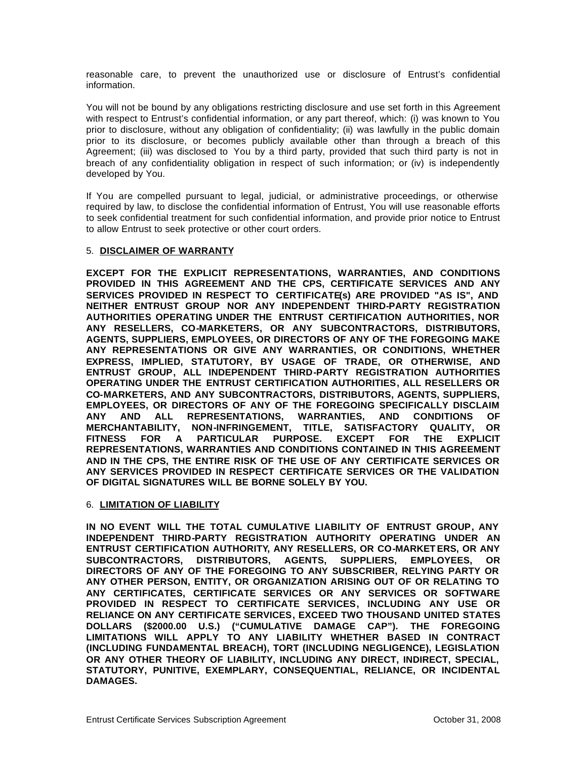reasonable care, to prevent the unauthorized use or disclosure of Entrust's confidential information.

You will not be bound by any obligations restricting disclosure and use set forth in this Agreement with respect to Entrust's confidential information, or any part thereof, which: (i) was known to You prior to disclosure, without any obligation of confidentiality; (ii) was lawfully in the public domain prior to its disclosure, or becomes publicly available other than through a breach of this Agreement; (iii) was disclosed to You by a third party, provided that such third party is not in breach of any confidentiality obligation in respect of such information; or (iv) is independently developed by You.

If You are compelled pursuant to legal, judicial, or administrative proceedings, or otherwise required by law, to disclose the confidential information of Entrust, You will use reasonable efforts to seek confidential treatment for such confidential information, and provide prior notice to Entrust to allow Entrust to seek protective or other court orders.

#### 5. **DISCLAIMER OF WARRANTY**

**EXCEPT FOR THE EXPLICIT REPRESENTATIONS, WARRANTIES, AND CONDITIONS PROVIDED IN THIS AGREEMENT AND THE CPS, CERTIFICATE SERVICES AND ANY SERVICES PROVIDED IN RESPECT TO CERTIFICATE(s) ARE PROVIDED "AS IS", AND NEITHER ENTRUST GROUP NOR ANY INDEPENDENT THIRD-PARTY REGISTRATION AUTHORITIES OPERATING UNDER THE ENTRUST CERTIFICATION AUTHORITIES, NOR ANY RESELLERS, CO-MARKETERS, OR ANY SUBCONTRACTORS, DISTRIBUTORS, AGENTS, SUPPLIERS, EMPLOYEES, OR DIRECTORS OF ANY OF THE FOREGOING MAKE ANY REPRESENTATIONS OR GIVE ANY WARRANTIES, OR CONDITIONS, WHETHER EXPRESS, IMPLIED, STATUTORY, BY USAGE OF TRADE, OR OTHERWISE, AND ENTRUST GROUP, ALL INDEPENDENT THIRD-PARTY REGISTRATION AUTHORITIES OPERATING UNDER THE ENTRUST CERTIFICATION AUTHORITIES, ALL RESELLERS OR CO-MARKETERS, AND ANY SUBCONTRACTORS, DISTRIBUTORS, AGENTS, SUPPLIERS, EMPLOYEES, OR DIRECTORS OF ANY OF THE FOREGOING SPECIFICALLY DISCLAIM ANY AND ALL REPRESENTATIONS, WARRANTIES, AND CONDITIONS OF MERCHANTABILITY, NON-INFRINGEMENT, TITLE, SATISFACTORY QUALITY, OR FITNESS FOR A PARTICULAR PURPOSE. EXCEPT FOR THE EXPLICIT REPRESENTATIONS, WARRANTIES AND CONDITIONS CONTAINED IN THIS AGREEMENT AND IN THE CPS, THE ENTIRE RISK OF THE USE OF ANY CERTIFICATE SERVICES OR ANY SERVICES PROVIDED IN RESPECT CERTIFICATE SERVICES OR THE VALIDATION OF DIGITAL SIGNATURES WILL BE BORNE SOLELY BY YOU.**

#### 6. **LIMITATION OF LIABILITY**

**IN NO EVENT WILL THE TOTAL CUMULATIVE LIABILITY OF ENTRUST GROUP, ANY INDEPENDENT THIRD-PARTY REGISTRATION AUTHORITY OPERATING UNDER AN ENTRUST CERTIFICATION AUTHORITY, ANY RESELLERS, OR CO-MARKETERS, OR ANY SUBCONTRACTORS, DISTRIBUTORS, AGENTS, SUPPLIERS, EMPLOYEES, OR DIRECTORS OF ANY OF THE FOREGOING TO ANY SUBSCRIBER, RELYING PARTY OR ANY OTHER PERSON, ENTITY, OR ORGANIZATION ARISING OUT OF OR RELATING TO ANY CERTIFICATES, CERTIFICATE SERVICES OR ANY SERVICES OR SOFTWARE PROVIDED IN RESPECT TO CERTIFICATE SERVICES, INCLUDING ANY USE OR RELIANCE ON ANY CERTIFICATE SERVICES, EXCEED TWO THOUSAND UNITED STATES DOLLARS (\$2000.00 U.S.) ("CUMULATIVE DAMAGE CAP"). THE FOREGOING LIMITATIONS WILL APPLY TO ANY LIABILITY WHETHER BASED IN CONTRACT (INCLUDING FUNDAMENTAL BREACH), TORT (INCLUDING NEGLIGENCE), LEGISLATION OR ANY OTHER THEORY OF LIABILITY, INCLUDING ANY DIRECT, INDIRECT, SPECIAL, STATUTORY, PUNITIVE, EXEMPLARY, CONSEQUENTIAL, RELIANCE, OR INCIDENTAL DAMAGES.**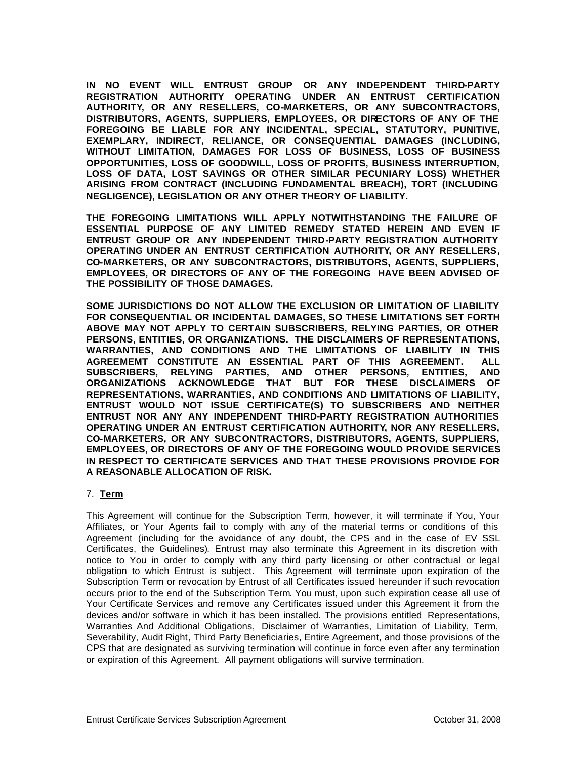**IN NO EVENT WILL ENTRUST GROUP OR ANY INDEPENDENT THIRD-PARTY REGISTRATION AUTHORITY OPERATING UNDER AN ENTRUST CERTIFICATION AUTHORITY, OR ANY RESELLERS, CO-MARKETERS, OR ANY SUBCONTRACTORS, DISTRIBUTORS, AGENTS, SUPPLIERS, EMPLOYEES, OR DIRECTORS OF ANY OF THE FOREGOING BE LIABLE FOR ANY INCIDENTAL, SPECIAL, STATUTORY, PUNITIVE, EXEMPLARY, INDIRECT, RELIANCE, OR CONSEQUENTIAL DAMAGES (INCLUDING, WITHOUT LIMITATION, DAMAGES FOR LOSS OF BUSINESS, LOSS OF BUSINESS OPPORTUNITIES, LOSS OF GOODWILL, LOSS OF PROFITS, BUSINESS INTERRUPTION, LOSS OF DATA, LOST SAVINGS OR OTHER SIMILAR PECUNIARY LOSS) WHETHER ARISING FROM CONTRACT (INCLUDING FUNDAMENTAL BREACH), TORT (INCLUDING NEGLIGENCE), LEGISLATION OR ANY OTHER THEORY OF LIABILITY.** 

**THE FOREGOING LIMITATIONS WILL APPLY NOTWITHSTANDING THE FAILURE OF ESSENTIAL PURPOSE OF ANY LIMITED REMEDY STATED HEREIN AND EVEN IF ENTRUST GROUP OR ANY INDEPENDENT THIRD-PARTY REGISTRATION AUTHORITY OPERATING UNDER AN ENTRUST CERTIFICATION AUTHORITY, OR ANY RESELLERS, CO-MARKETERS, OR ANY SUBCONTRACTORS, DISTRIBUTORS, AGENTS, SUPPLIERS, EMPLOYEES, OR DIRECTORS OF ANY OF THE FOREGOING HAVE BEEN ADVISED OF THE POSSIBILITY OF THOSE DAMAGES.**

**SOME JURISDICTIONS DO NOT ALLOW THE EXCLUSION OR LIMITATION OF LIABILITY FOR CONSEQUENTIAL OR INCIDENTAL DAMAGES, SO THESE LIMITATIONS SET FORTH ABOVE MAY NOT APPLY TO CERTAIN SUBSCRIBERS, RELYING PARTIES, OR OTHER PERSONS, ENTITIES, OR ORGANIZATIONS. THE DISCLAIMERS OF REPRESENTATIONS, WARRANTIES, AND CONDITIONS AND THE LIMITATIONS OF LIABILITY IN THIS AGREEMEMT CONSTITUTE AN ESSENTIAL PART OF THIS AGREEMENT. ALL SUBSCRIBERS, RELYING PARTIES, AND OTHER PERSONS, ENTITIES, AND ORGANIZATIONS ACKNOWLEDGE THAT BUT FOR THESE DISCLAIMERS OF REPRESENTATIONS, WARRANTIES, AND CONDITIONS AND LIMITATIONS OF LIABILITY, ENTRUST WOULD NOT ISSUE CERTIFICATE(S) TO SUBSCRIBERS AND NEITHER ENTRUST NOR ANY ANY INDEPENDENT THIRD-PARTY REGISTRATION AUTHORITIES OPERATING UNDER AN ENTRUST CERTIFICATION AUTHORITY, NOR ANY RESELLERS, CO-MARKETERS, OR ANY SUBCONTRACTORS, DISTRIBUTORS, AGENTS, SUPPLIERS, EMPLOYEES, OR DIRECTORS OF ANY OF THE FOREGOING WOULD PROVIDE SERVICES IN RESPECT TO CERTIFICATE SERVICES AND THAT THESE PROVISIONS PROVIDE FOR A REASONABLE ALLOCATION OF RISK.**

#### 7. **Term**

This Agreement will continue for the Subscription Term, however, it will terminate if You, Your Affiliates, or Your Agents fail to comply with any of the material terms or conditions of this Agreement (including for the avoidance of any doubt, the CPS and in the case of EV SSL Certificates, the Guidelines). Entrust may also terminate this Agreement in its discretion with notice to You in order to comply with any third party licensing or other contractual or legal obligation to which Entrust is subject. This Agreement will terminate upon expiration of the Subscription Term or revocation by Entrust of all Certificates issued hereunder if such revocation occurs prior to the end of the Subscription Term. You must, upon such expiration cease all use of Your Certificate Services and remove any Certificates issued under this Agreement it from the devices and/or software in which it has been installed. The provisions entitled Representations, Warranties And Additional Obligations, Disclaimer of Warranties, Limitation of Liability, Term, Severability, Audit Right, Third Party Beneficiaries, Entire Agreement, and those provisions of the CPS that are designated as surviving termination will continue in force even after any termination or expiration of this Agreement. All payment obligations will survive termination.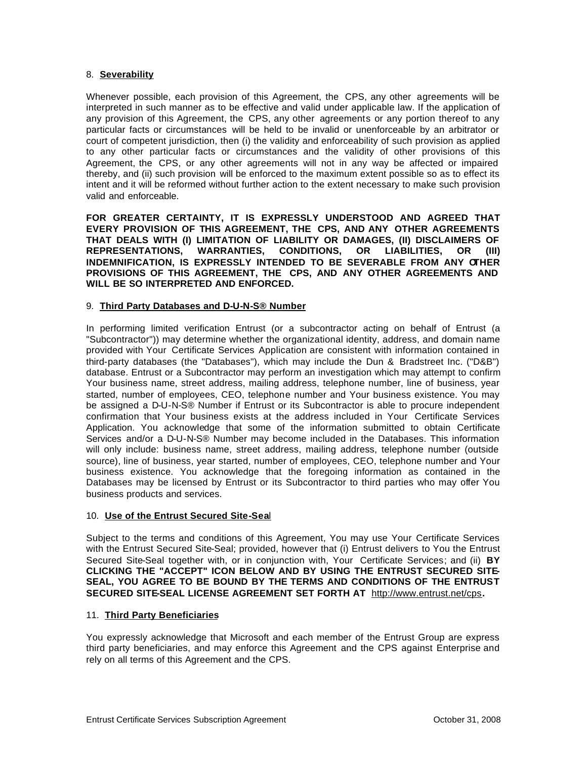#### 8. **Severability**

Whenever possible, each provision of this Agreement, the CPS, any other agreements will be interpreted in such manner as to be effective and valid under applicable law. If the application of any provision of this Agreement, the CPS, any other agreements or any portion thereof to any particular facts or circumstances will be held to be invalid or unenforceable by an arbitrator or court of competent jurisdiction, then (i) the validity and enforceability of such provision as applied to any other particular facts or circumstances and the validity of other provisions of this Agreement, the CPS, or any other agreements will not in any way be affected or impaired thereby, and (ii) such provision will be enforced to the maximum extent possible so as to effect its intent and it will be reformed without further action to the extent necessary to make such provision valid and enforceable.

**FOR GREATER CERTAINTY, IT IS EXPRESSLY UNDERSTOOD AND AGREED THAT EVERY PROVISION OF THIS AGREEMENT, THE CPS, AND ANY OTHER AGREEMENTS THAT DEALS WITH (I) LIMITATION OF LIABILITY OR DAMAGES, (II) DISCLAIMERS OF REPRESENTATIONS, WARRANTIES, CONDITIONS, OR LIABILITIES, OR (III) INDEMNIFICATION, IS EXPRESSLY INTENDED TO BE SEVERABLE FROM ANY OTHER PROVISIONS OF THIS AGREEMENT, THE CPS, AND ANY OTHER AGREEMENTS AND WILL BE SO INTERPRETED AND ENFORCED.**

#### 9. **Third Party Databases and D-U-N-S® Number**

In performing limited verification Entrust (or a subcontractor acting on behalf of Entrust (a "Subcontractor")) may determine whether the organizational identity, address, and domain name provided with Your Certificate Services Application are consistent with information contained in third-party databases (the "Databases"), which may include the Dun & Bradstreet Inc. ("D&B") database. Entrust or a Subcontractor may perform an investigation which may attempt to confirm Your business name, street address, mailing address, telephone number, line of business, year started, number of employees, CEO, telephone number and Your business existence. You may be assigned a D-U-N-S® Number if Entrust or its Subcontractor is able to procure independent confirmation that Your business exists at the address included in Your Certificate Services Application. You acknowledge that some of the information submitted to obtain Certificate Services and/or a D-U-N-S® Number may become included in the Databases. This information will only include: business name, street address, mailing address, telephone number (outside source), line of business, year started, number of employees, CEO, telephone number and Your business existence. You acknowledge that the foregoing information as contained in the Databases may be licensed by Entrust or its Subcontractor to third parties who may offer You business products and services.

#### 10. **Use of the Entrust Secured Site-Sea**l

Subject to the terms and conditions of this Agreement, You may use Your Certificate Services with the Entrust Secured Site-Seal; provided, however that (i) Entrust delivers to You the Entrust Secured Site-Seal together with, or in conjunction with, Your Certificate Services; and (ii) **BY CLICKING THE "ACCEPT" ICON BELOW AND BY USING THE ENTRUST SECURED SITE-SEAL, YOU AGREE TO BE BOUND BY THE TERMS AND CONDITIONS OF THE ENTRUST SECURED SITE-SEAL LICENSE AGREEMENT SET FORTH AT** http://www.entrust.net/cps**.**

#### 11. **Third Party Beneficiaries**

You expressly acknowledge that Microsoft and each member of the Entrust Group are express third party beneficiaries, and may enforce this Agreement and the CPS against Enterprise and rely on all terms of this Agreement and the CPS.